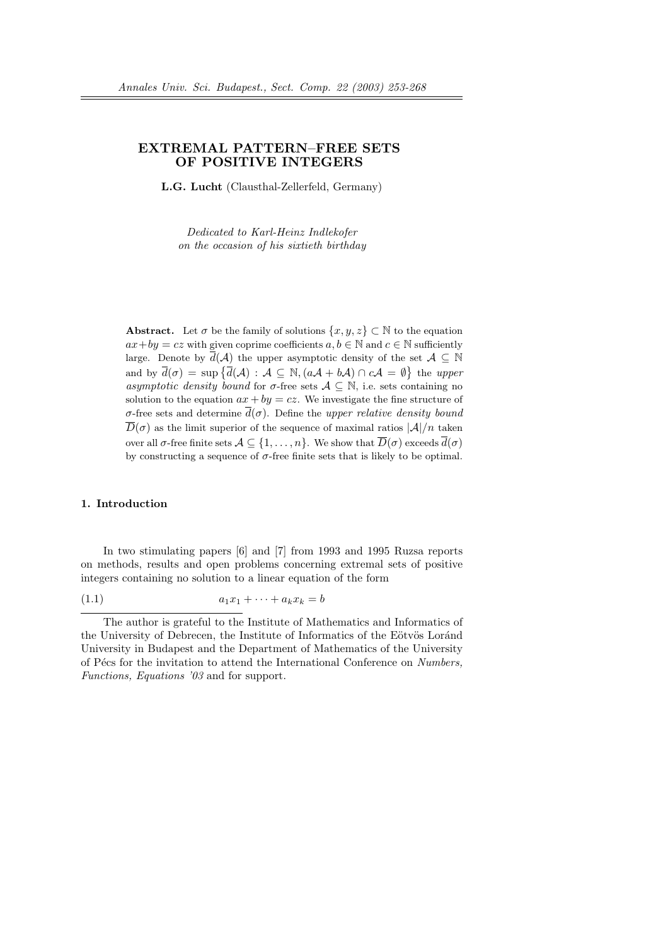## EXTREMAL PATTERN–FREE SETS OF POSITIVE INTEGERS

L.G. Lucht (Clausthal-Zellerfeld, Germany)

Dedicated to Karl-Heinz Indlekofer on the occasion of his sixtieth birthday

**Abstract.** Let  $\sigma$  be the family of solutions  $\{x, y, z\} \subset \mathbb{N}$  to the equation  $ax+by = cz$  with given coprime coefficients  $a, b \in \mathbb{N}$  and  $c \in \mathbb{N}$  sufficiently large. Denote by  $d(\mathcal{A})$  the upper asymptotic density of the set  $\mathcal{A} \subseteq \mathbb{N}$ and by  $\overline{d}(\sigma) = \sup \{ \overline{d}(A) : A \subseteq \mathbb{N}, (aA + bA) \cap cA = \emptyset \}$  the upper asymptotic density bound for  $\sigma$ -free sets  $\mathcal{A} \subseteq \mathbb{N}$ , i.e. sets containing no solution to the equation  $ax + by = cz$ . We investigate the fine structure of σ-free sets and determine  $d(σ)$ . Define the upper relative density bound  $D(\sigma)$  as the limit superior of the sequence of maximal ratios  $|\mathcal{A}|/n$  taken over all  $\sigma$ -free finite sets  $A \subseteq \{1, \ldots, n\}$ . We show that  $\overline{D}(\sigma)$  exceeds  $\overline{d}(\sigma)$ by constructing a sequence of  $\sigma$ -free finite sets that is likely to be optimal.

#### 1. Introduction

In two stimulating papers [6] and [7] from 1993 and 1995 Ruzsa reports on methods, results and open problems concerning extremal sets of positive integers containing no solution to a linear equation of the form

$$
(1.1) \qquad \qquad a_1x_1 + \cdots + a_kx_k = b
$$

The author is grateful to the Institute of Mathematics and Informatics of the University of Debrecen, the Institute of Informatics of the Eötvös Loránd University in Budapest and the Department of Mathematics of the University of Pécs for the invitation to attend the International Conference on Numbers, Functions, Equations '03 and for support.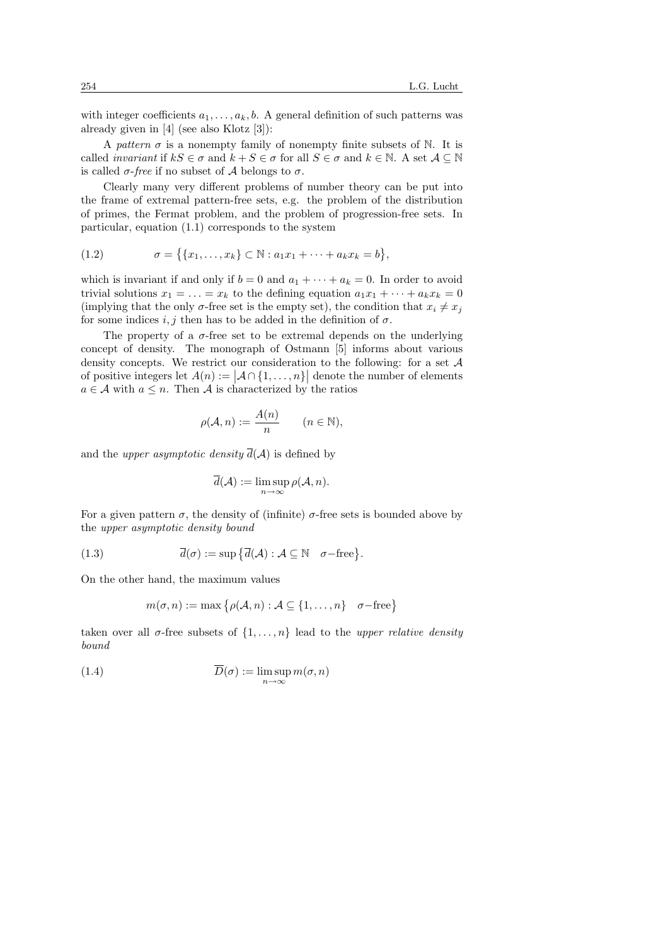with integer coefficients  $a_1, \ldots, a_k, b$ . A general definition of such patterns was already given in [4] (see also Klotz [3]):

A pattern  $\sigma$  is a nonempty family of nonempty finite subsets of N. It is called *invariant* if  $kS \in \sigma$  and  $k + S \in \sigma$  for all  $S \in \sigma$  and  $k \in \mathbb{N}$ . A set  $\mathcal{A} \subseteq \mathbb{N}$ is called  $\sigma$ -free if no subset of A belongs to  $\sigma$ .

Clearly many very different problems of number theory can be put into the frame of extremal pattern-free sets, e.g. the problem of the distribution of primes, the Fermat problem, and the problem of progression-free sets. In particular, equation (1.1) corresponds to the system

(1.2) 
$$
\sigma = \{ \{x_1, \ldots, x_k\} \subset \mathbb{N} : a_1 x_1 + \cdots + a_k x_k = b \},
$$

which is invariant if and only if  $b = 0$  and  $a_1 + \cdots + a_k = 0$ . In order to avoid trivial solutions  $x_1 = \ldots = x_k$  to the defining equation  $a_1x_1 + \cdots + a_kx_k = 0$ (implying that the only  $\sigma$ -free set is the empty set), the condition that  $x_i \neq x_j$ for some indices i, j then has to be added in the definition of  $\sigma$ .

The property of a  $\sigma$ -free set to be extremal depends on the underlying concept of density. The monograph of Ostmann [5] informs about various density concepts. We restrict our consideration to the following: for a set  $A$ of positive integers let  $A(n) := |A \cap \{1, ..., n\}|$  denote the number of elements  $a \in \mathcal{A}$  with  $a \leq n$ . Then  $\mathcal{A}$  is characterized by the ratios

$$
\rho(\mathcal{A}, n) := \frac{A(n)}{n} \qquad (n \in \mathbb{N}),
$$

and the *upper asymptotic density*  $\overline{d}(\mathcal{A})$  is defined by

$$
\overline{d}(\mathcal{A}) := \limsup_{n \to \infty} \rho(\mathcal{A}, n).
$$

For a given pattern  $\sigma$ , the density of (infinite)  $\sigma$ -free sets is bounded above by the upper asymptotic density bound

(1.3) 
$$
\overline{d}(\sigma) := \sup \{ \overline{d}(\mathcal{A}) : \mathcal{A} \subseteq \mathbb{N} \quad \sigma \text{—free} \}.
$$

On the other hand, the maximum values

$$
m(\sigma, n) := \max \{ \rho(\mathcal{A}, n) : \mathcal{A} \subseteq \{1, \dots, n\} \mid \sigma - \text{free} \}
$$

taken over all  $\sigma$ -free subsets of  $\{1, \ldots, n\}$  lead to the upper relative density bound

(1.4) 
$$
\overline{D}(\sigma) := \limsup_{n \to \infty} m(\sigma, n)
$$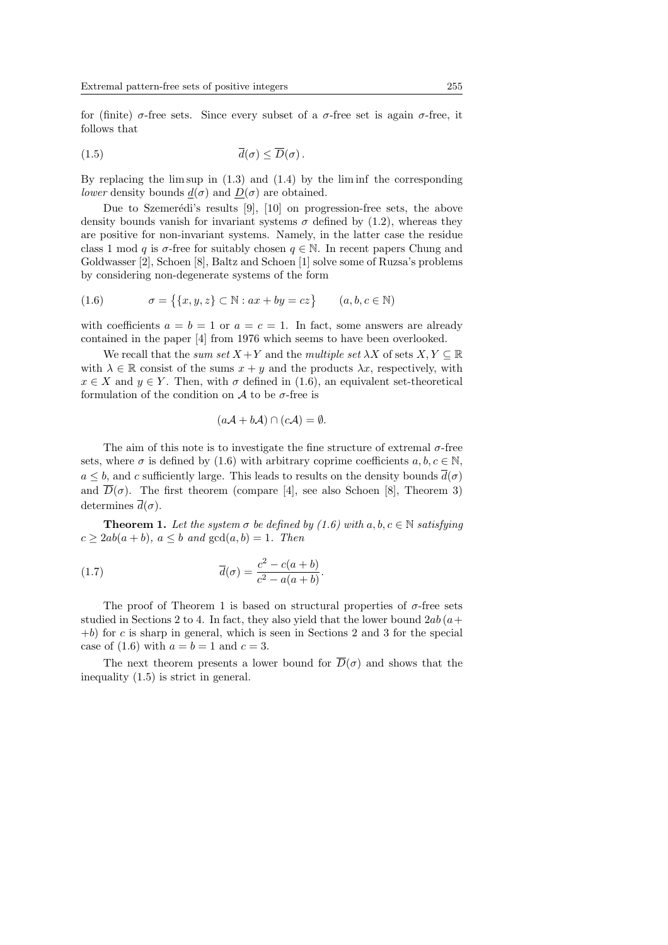for (finite)  $\sigma$ -free sets. Since every subset of a  $\sigma$ -free set is again  $\sigma$ -free, it follows that

$$
\overline{d}(\sigma) \leq \overline{D}(\sigma).
$$

By replacing the lim sup in  $(1.3)$  and  $(1.4)$  by the lim inf the corresponding *lower* density bounds  $d(\sigma)$  and  $D(\sigma)$  are obtained.

Due to Szemerédi's results  $[9]$ ,  $[10]$  on progression-free sets, the above density bounds vanish for invariant systems  $\sigma$  defined by (1.2), whereas they are positive for non-invariant systems. Namely, in the latter case the residue class 1 mod q is  $\sigma$ -free for suitably chosen  $q \in \mathbb{N}$ . In recent papers Chung and Goldwasser [2], Schoen [8], Baltz and Schoen [1] solve some of Ruzsa's problems by considering non-degenerate systems of the form

(1.6) 
$$
\sigma = \{ \{x, y, z\} \subset \mathbb{N} : ax + by = cz \} \qquad (a, b, c \in \mathbb{N})
$$

with coefficients  $a = b = 1$  or  $a = c = 1$ . In fact, some answers are already contained in the paper [4] from 1976 which seems to have been overlooked.

We recall that the sum set  $X + Y$  and the multiple set  $\lambda X$  of sets  $X, Y \subseteq \mathbb{R}$ with  $\lambda \in \mathbb{R}$  consist of the sums  $x + y$  and the products  $\lambda x$ , respectively, with  $x \in X$  and  $y \in Y$ . Then, with  $\sigma$  defined in (1.6), an equivalent set-theoretical formulation of the condition on  $A$  to be  $\sigma$ -free is

$$
(a\mathcal{A} + b\mathcal{A}) \cap (c\mathcal{A}) = \emptyset.
$$

The aim of this note is to investigate the fine structure of extremal  $\sigma$ -free sets, where  $\sigma$  is defined by (1.6) with arbitrary coprime coefficients  $a, b, c \in \mathbb{N}$ ,  $a\leq b,$  and  $c$  sufficiently large. This leads to results on the density bounds  $\overline{d}(\sigma)$ and  $\overline{D}(\sigma)$ . The first theorem (compare [4], see also Schoen [8], Theorem 3) determines  $\overline{d}(\sigma)$ .

**Theorem 1.** Let the system  $\sigma$  be defined by (1.6) with  $a, b, c \in \mathbb{N}$  satisfying  $c \geq 2ab(a+b), a \leq b$  and  $gcd(a,b) = 1$ . Then

(1.7) 
$$
\overline{d}(\sigma) = \frac{c^2 - c(a+b)}{c^2 - a(a+b)}.
$$

The proof of Theorem 1 is based on structural properties of  $\sigma$ -free sets studied in Sections 2 to 4. In fact, they also yield that the lower bound  $2ab(a+)$  $+b$  for c is sharp in general, which is seen in Sections 2 and 3 for the special case of  $(1.6)$  with  $a = b = 1$  and  $c = 3$ .

The next theorem presents a lower bound for  $\overline{D}(\sigma)$  and shows that the inequality (1.5) is strict in general.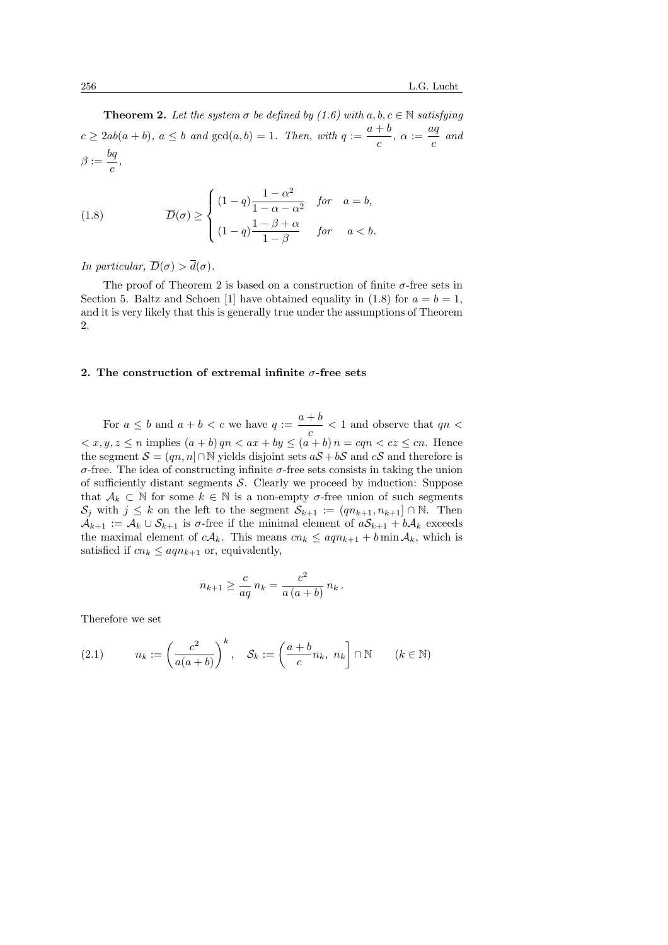**Theorem 2.** Let the system  $\sigma$  be defined by (1.6) with  $a, b, c \in \mathbb{N}$  satisfying  $c \geq 2ab(a+b), a \leq b$  and  $gcd(a,b) = 1$ . Then, with  $q := \frac{a+b}{b}$  $\frac{+b}{c}, \alpha := \frac{aq}{c}$  $\frac{c}{c}$  and  $\beta:=\frac{bq}{\cdot}$  $\frac{a}{c}$ ,

(1.8) 
$$
\overline{D}(\sigma) \ge \begin{cases} (1-q)\frac{1-\alpha^2}{1-\alpha-\alpha^2} & \text{for } a=b, \\ (1-q)\frac{1-\beta+\alpha}{1-\beta} & \text{for } a
$$

In particular,  $\overline{D}(\sigma) > \overline{d}(\sigma)$ .

The proof of Theorem 2 is based on a construction of finite  $\sigma$ -free sets in Section 5. Baltz and Schoen [1] have obtained equality in (1.8) for  $a = b = 1$ , and it is very likely that this is generally true under the assumptions of Theorem 2.

## 2. The construction of extremal infinite  $\sigma$ -free sets

For  $a \leq b$  and  $a + b < c$  we have  $q := \frac{a+b}{b}$  $\frac{1}{c}$  < 1 and observe that  $qn <$  $\langle x, y, z \leq n \text{ implies } (a + b) qn \langle ax + by \leq (a + b) n = cqn \langle cz \leq cn \rangle$ . Hence the segment  $S = (qn, n] \cap \mathbb{N}$  yields disjoint sets  $aS + bS$  and  $cS$  and therefore is σ-free. The idea of constructing infinite σ-free sets consists in taking the union of sufficiently distant segments  $\mathcal S$ . Clearly we proceed by induction: Suppose that  $\mathcal{A}_k \subset \mathbb{N}$  for some  $k \in \mathbb{N}$  is a non-empty  $\sigma$ -free union of such segments  $S_i$  with  $j \leq k$  on the left to the segment  $S_{k+1} := (qn_{k+1}, n_{k+1}] \cap \mathbb{N}$ . Then  $\mathcal{A}_{k+1} := \mathcal{A}_k \cup \mathcal{S}_{k+1}$  is  $\sigma$ -free if the minimal element of  $a\mathcal{S}_{k+1} + b\mathcal{A}_k$  exceeds the maximal element of  $cA_k$ . This means  $cn_k \leq aqn_{k+1} + b \min A_k$ , which is satisfied if  $cn_k \leq aqn_{k+1}$  or, equivalently,

$$
n_{k+1} \ge \frac{c}{aq} n_k = \frac{c^2}{a (a+b)} n_k.
$$

Therefore we set

(2.1) 
$$
n_k := \left(\frac{c^2}{a(a+b)}\right)^k, \quad \mathcal{S}_k := \left(\frac{a+b}{c}n_k, n_k\right] \cap \mathbb{N} \qquad (k \in \mathbb{N})
$$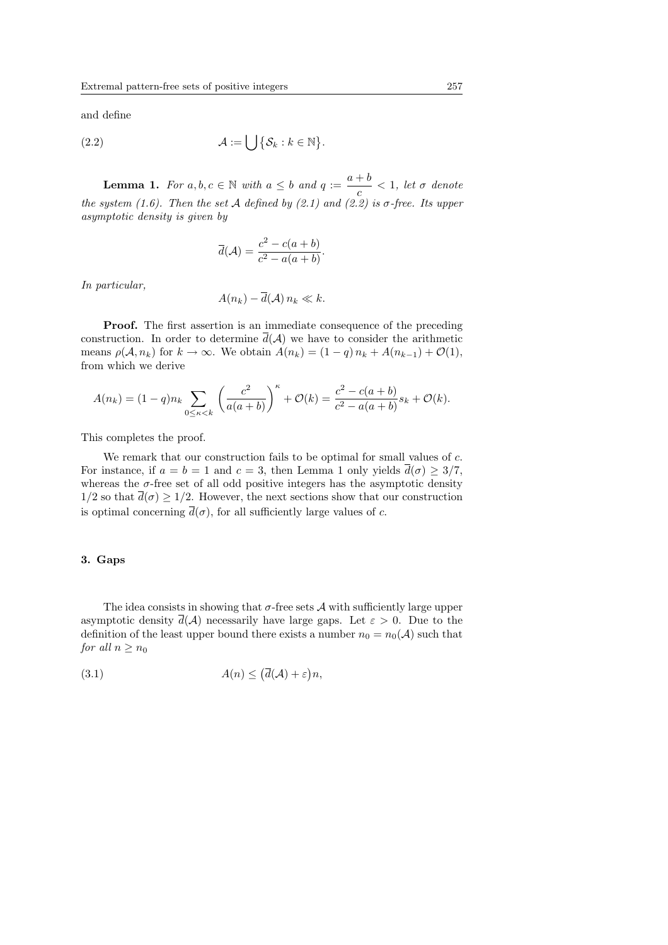and define

(2.2) 
$$
\mathcal{A} := \bigcup \{ \mathcal{S}_k : k \in \mathbb{N} \}.
$$

**Lemma 1.** For  $a, b, c \in \mathbb{N}$  with  $a \leq b$  and  $q := \frac{a+b}{b}$  $\frac{1}{c}$  < 1, let  $\sigma$  denote the system (1.6). Then the set A defined by (2.1) and (2.2) is  $\sigma$ -free. Its upper asymptotic density is given by

$$
\overline{d}(\mathcal{A}) = \frac{c^2 - c(a+b)}{c^2 - a(a+b)}.
$$

In particular,

$$
A(n_k) - \overline{d}(\mathcal{A}) n_k \ll k.
$$

Proof. The first assertion is an immediate consequence of the preceding construction. In order to determine  $\overline{d}(\mathcal{A})$  we have to consider the arithmetic means  $\rho(A, n_k)$  for  $k \to \infty$ . We obtain  $A(n_k) = (1 - q) n_k + A(n_{k-1}) + \mathcal{O}(1)$ , from which we derive

$$
A(n_k) = (1-q)n_k \sum_{0 \le \kappa < k} \left( \frac{c^2}{a(a+b)} \right)^{\kappa} + \mathcal{O}(k) = \frac{c^2 - c(a+b)}{c^2 - a(a+b)} s_k + \mathcal{O}(k).
$$

This completes the proof.

We remark that our construction fails to be optimal for small values of c. For instance, if  $a = b = 1$  and  $c = 3$ , then Lemma 1 only yields  $\overline{d}(\sigma) \geq 3/7$ , whereas the  $\sigma$ -free set of all odd positive integers has the asymptotic density  $1/2$  so that  $\overline{d}(\sigma) \geq 1/2$ . However, the next sections show that our construction is optimal concerning  $\overline{d}(\sigma)$ , for all sufficiently large values of c.

### 3. Gaps

The idea consists in showing that  $\sigma$ -free sets  $\mathcal A$  with sufficiently large upper asymptotic density  $\overline{d}(\mathcal{A})$  necessarily have large gaps. Let  $\varepsilon > 0$ . Due to the definition of the least upper bound there exists a number  $n_0 = n_0(\mathcal{A})$  such that for all  $n \geq n_0$ 

(3.1) 
$$
A(n) \leq (\overline{d}(\mathcal{A}) + \varepsilon)n,
$$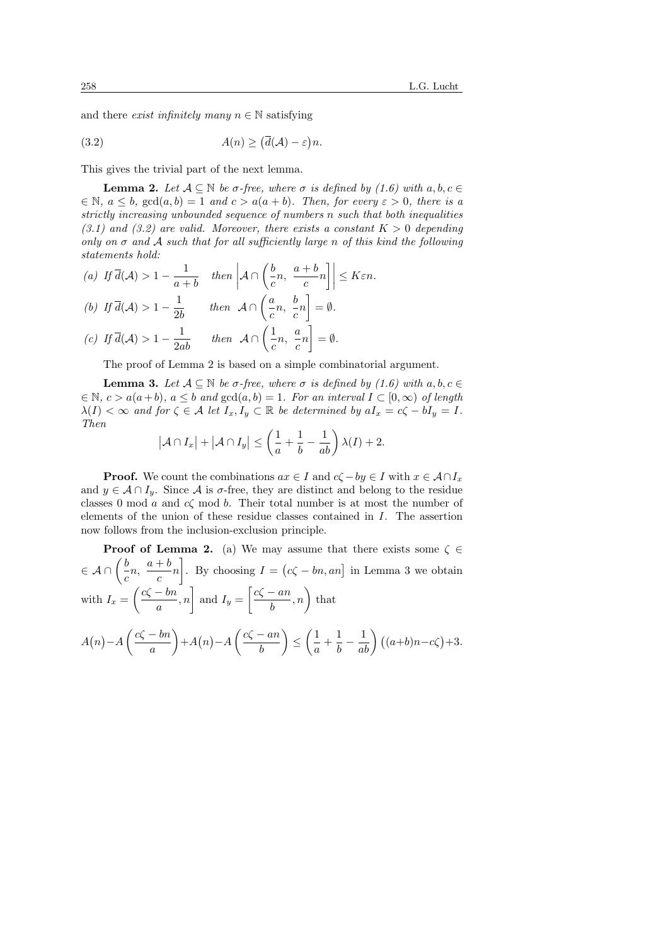and there *exist infinitely many*  $n \in \mathbb{N}$  satisfying

(3.2) 
$$
A(n) \geq (\overline{d}(\mathcal{A}) - \varepsilon)n.
$$

This gives the trivial part of the next lemma.

**Lemma 2.** Let  $A \subseteq \mathbb{N}$  be  $\sigma$ -free, where  $\sigma$  is defined by (1.6) with  $a, b, c \in$  $\in \mathbb{N}, a \leq b, \text{gcd}(a, b) = 1 \text{ and } c > a(a + b).$  Then, for every  $\varepsilon > 0$ , there is a strictly increasing unbounded sequence of numbers n such that both inequalities  $(3.1)$  and  $(3.2)$  are valid. Moreover, there exists a constant  $K > 0$  depending only on  $\sigma$  and A such that for all sufficiently large n of this kind the following statements hold:

(a) If  $\overline{d}(\mathcal{A}) > 1 - \frac{1}{\alpha}$  $\frac{1}{a+b}$  then  $a \cap \left( \frac{b}{c} \right)$  $\frac{b}{c}n, \frac{a+b}{c}$  $\frac{1}{c}$ n  $\left|\left|\right| \leq K \varepsilon n.$ (b) If  $\overline{d}(\mathcal{A}) > 1 - \frac{1}{2!}$  $rac{1}{2b}$  then  $A \cap \left(\frac{a}{c}\right)$  $\frac{a}{c}n,~\frac{b}{c}$  $\frac{5}{c}n$ ູ  $=\emptyset$ . (c) If  $\overline{d}(\mathcal{A}) > 1 - \frac{1}{2ab}$  then  $\mathcal{A} \cap \left(\frac{1}{c}\right)$  $\frac{1}{c}n, \frac{a}{c}$  $\frac{a}{c}n$ !<br>¬  $=\emptyset$ .

The proof of Lemma 2 is based on a simple combinatorial argument.

**Lemma 3.** Let  $A \subseteq \mathbb{N}$  be  $\sigma$ -free, where  $\sigma$  is defined by (1.6) with  $a, b, c \in$  $\in \mathbb{N}, c > a(a+b), a < b$  and  $gcd(a, b) = 1$ . For an interval  $I \subset [0, \infty)$  of length  $\lambda(I) < \infty$  and for  $\zeta \in A$  let  $I_x, I_y \subset \mathbb{R}$  be determined by  $aI_x = c\zeta - bI_y = I$ . Then  $\overline{a}$ 

$$
|\mathcal{A} \cap I_x| + |\mathcal{A} \cap I_y| \le \left(\frac{1}{a} + \frac{1}{b} - \frac{1}{ab}\right) \lambda(I) + 2.
$$

**Proof.** We count the combinations  $ax \in I$  and  $c\zeta - by \in I$  with  $x \in A \cap I_x$ and  $y \in A \cap I_y$ . Since A is  $\sigma$ -free, they are distinct and belong to the residue classes 0 mod a and  $c\zeta$  mod b. Their total number is at most the number of elements of the union of these residue classes contained in I. The assertion now follows from the inclusion-exclusion principle.

**Proof of Lemma 2.** (a) We may assume that there exists some 
$$
\zeta \in
$$
  
\n $\in \mathcal{A} \cap \left(\frac{b}{c}n, \frac{a+b}{c}n\right]$ . By choosing  $I = (c\zeta - bn, an]$  in Lemma 3 we obtain  
\nwith  $I_x = \left(\frac{c\zeta - bn}{a}, n\right)$  and  $I_y = \left[\frac{c\zeta - an}{b}, n\right)$  that  
\n $A(n) - A\left(\frac{c\zeta - bn}{a}\right) + A(n) - A\left(\frac{c\zeta - an}{b}\right) \le \left(\frac{1}{a} + \frac{1}{b} - \frac{1}{ab}\right) ((a+b)n - c\zeta) + 3$ .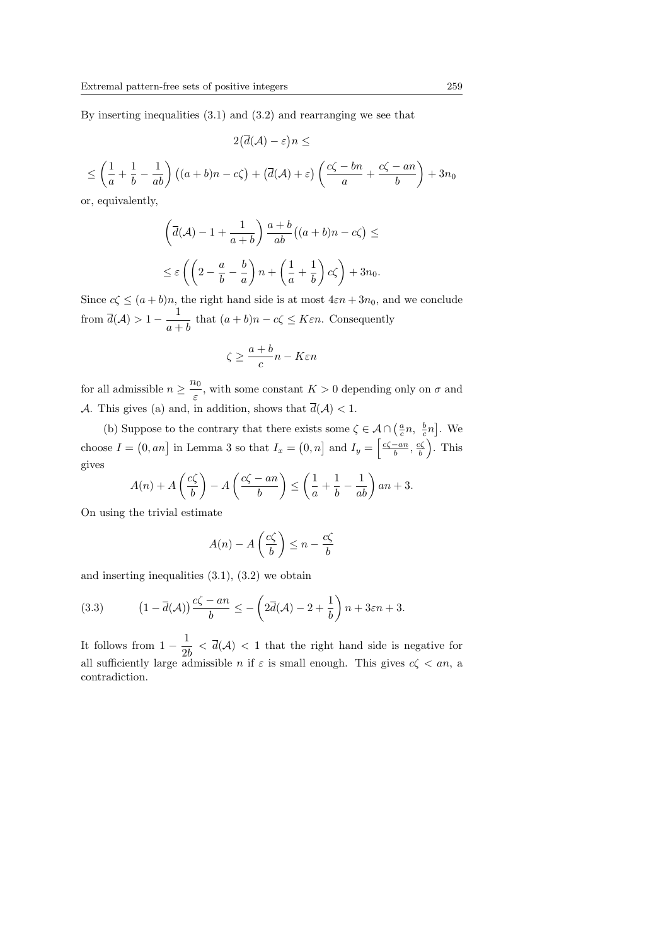By inserting inequalities (3.1) and (3.2) and rearranging we see that

$$
2(\overline{d}(\mathcal{A}) - \varepsilon)n \le
$$
  

$$
\le \left(\frac{1}{a} + \frac{1}{b} - \frac{1}{ab}\right) \left((a+b)n - c\zeta\right) + \left(\overline{d}(\mathcal{A}) + \varepsilon\right) \left(\frac{c\zeta - bn}{a} + \frac{c\zeta - an}{b}\right) + 3n_0
$$

or, equivalently,

$$
\left(\overline{d}(\mathcal{A}) - 1 + \frac{1}{a+b}\right) \frac{a+b}{ab} \left((a+b)n - c\zeta\right) \le
$$
  

$$
\leq \varepsilon \left(\left(2 - \frac{a}{b} - \frac{b}{a}\right)n + \left(\frac{1}{a} + \frac{1}{b}\right)c\zeta\right) + 3n_0.
$$

Since  $c\zeta \leq (a+b)n$ , the right hand side is at most  $4\varepsilon n + 3n_0$ , and we conclude from  $\overline{d}(\mathcal{A}) > 1 - \frac{1}{\sqrt{2}}$  $\frac{1}{a+b}$  that  $(a+b)n - c\zeta \leq K\varepsilon n$ . Consequently

$$
\zeta \ge \frac{a+b}{c}n - K\varepsilon n
$$

for all admissible  $n \geq \frac{n_0}{n}$  $\frac{\partial}{\partial \epsilon}$ , with some constant  $K > 0$  depending only on  $\sigma$  and A. This gives (a) and, in addition, shows that  $\overline{d}(\mathcal{A}) < 1$ .

(b) Suppose to the contrary that there exists some  $\zeta \in \mathcal{A} \cap \left(\frac{a}{c}n, \frac{b}{c}n\right)$ ¤  $A \cap \left(\frac{a}{c}n, \frac{b}{c}n\right]$ . We choose  $I =$  $[0, an]$  in Lemma 3 so that  $I_x =$  $(0, n]$  and  $I_y = \left[\frac{c\zeta - an}{b}, \frac{c\zeta}{b}\right]$ . This gives  $\overline{a}$  $\mathbf{r}$  $\overline{a}$  $\mathbf{r}$  $\overline{a}$ 

$$
A(n) + A\left(\frac{c\zeta}{b}\right) - A\left(\frac{c\zeta - an}{b}\right) \le \left(\frac{1}{a} + \frac{1}{b} - \frac{1}{ab}\right)an + 3.
$$

On using the trivial estimate

$$
A(n) - A\left(\frac{c\zeta}{b}\right) \le n - \frac{c\zeta}{b}
$$

and inserting inequalities (3.1), (3.2) we obtain

(3.3) 
$$
(1 - \overline{d}(\mathcal{A})) \frac{c\zeta - an}{b} \leq -\left(2\overline{d}(\mathcal{A}) - 2 + \frac{1}{b}\right)n + 3\varepsilon n + 3.
$$

It follows from  $1-\frac{1}{2}$  $\frac{1}{2b} < \overline{d}(\mathcal{A}) < 1$  that the right hand side is negative for all sufficiently large admissible n if  $\varepsilon$  is small enough. This gives  $c\zeta < an$ , a contradiction.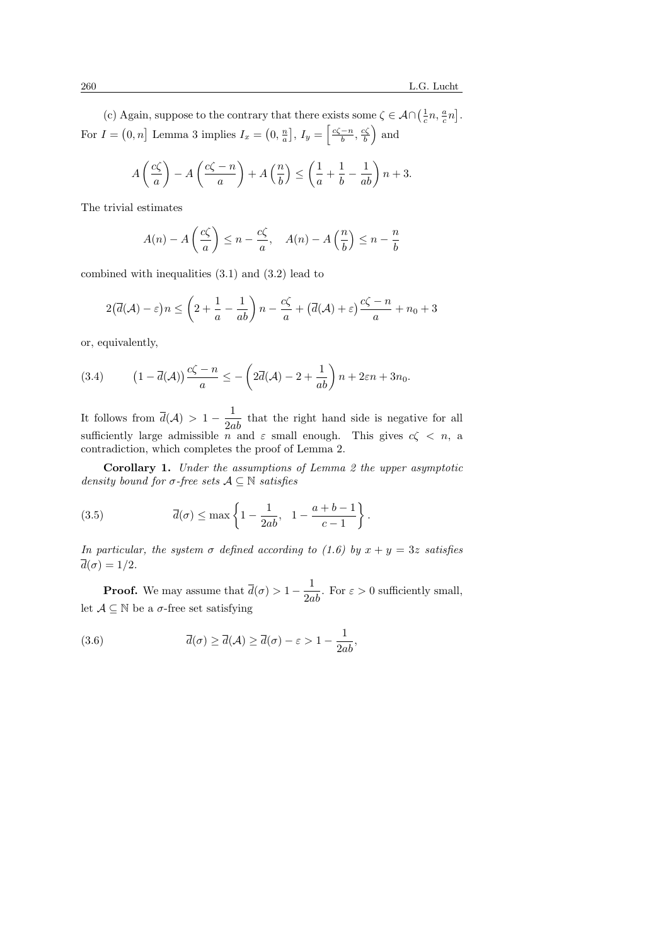(c) Again, suppose to the contrary that there exists some  $\zeta \in A \cap (\frac{1}{c}n, \frac{a}{c}n)$ ¤ exists some  $\zeta \in A \cap \left(\frac{1}{c}n, \frac{a}{c}n\right]$ . For  $I =$  $[0, n]$  Lemma 3 implies  $I_x =$ ¡  $0, \frac{n}{a}$ l<br>T ,  $I_y = \left[ \frac{c\zeta - n}{b}, \frac{c\zeta}{b} \right]$  and

$$
A\left(\frac{c\zeta}{a}\right) - A\left(\frac{c\zeta - n}{a}\right) + A\left(\frac{n}{b}\right) \le \left(\frac{1}{a} + \frac{1}{b} - \frac{1}{ab}\right)n + 3.
$$

The trivial estimates

$$
A(n) - A\left(\frac{c\zeta}{a}\right) \le n - \frac{c\zeta}{a}, \quad A(n) - A\left(\frac{n}{b}\right) \le n - \frac{n}{b}
$$

combined with inequalities (3.1) and (3.2) lead to

$$
2(\overline{d}(\mathcal{A}) - \varepsilon)n \le \left(2 + \frac{1}{a} - \frac{1}{ab}\right)n - \frac{c\zeta}{a} + (\overline{d}(\mathcal{A}) + \varepsilon)\frac{c\zeta - n}{a} + n_0 + 3
$$

or, equivalently,

(3.4) 
$$
(1 - \overline{d}(\mathcal{A})) \frac{c\zeta - n}{a} \leq -\left(2\overline{d}(\mathcal{A}) - 2 + \frac{1}{ab}\right)n + 2\varepsilon n + 3n_0.
$$

It follows from  $\overline{d}(\mathcal{A}) > 1 - \frac{1}{2ab}$  that the right hand side is negative for all sufficiently large admissible  $n^{\infty}$  and  $\varepsilon$  small enough. This gives  $c\zeta < n$ , a contradiction, which completes the proof of Lemma 2.

Corollary 1. Under the assumptions of Lemma 2 the upper asymptotic density bound for  $\sigma$ -free sets  $\mathcal{A} \subseteq \mathbb{N}$  satisfies

(3.5) 
$$
\overline{d}(\sigma) \leq \max\left\{1 - \frac{1}{2ab}, \quad 1 - \frac{a+b-1}{c-1}\right\}.
$$

In particular, the system  $\sigma$  defined according to (1.6) by  $x + y = 3z$  satisfies  $d(\sigma)=1/2.$ 

**Proof.** We may assume that  $\overline{d}(\sigma) > 1 - \frac{1}{2ab}$ . For  $\varepsilon > 0$  sufficiently small, let  $A \subseteq \mathbb{N}$  be a  $\sigma$ -free set satisfying

(3.6) 
$$
\overline{d}(\sigma) \ge \overline{d}(\mathcal{A}) \ge \overline{d}(\sigma) - \varepsilon > 1 - \frac{1}{2ab},
$$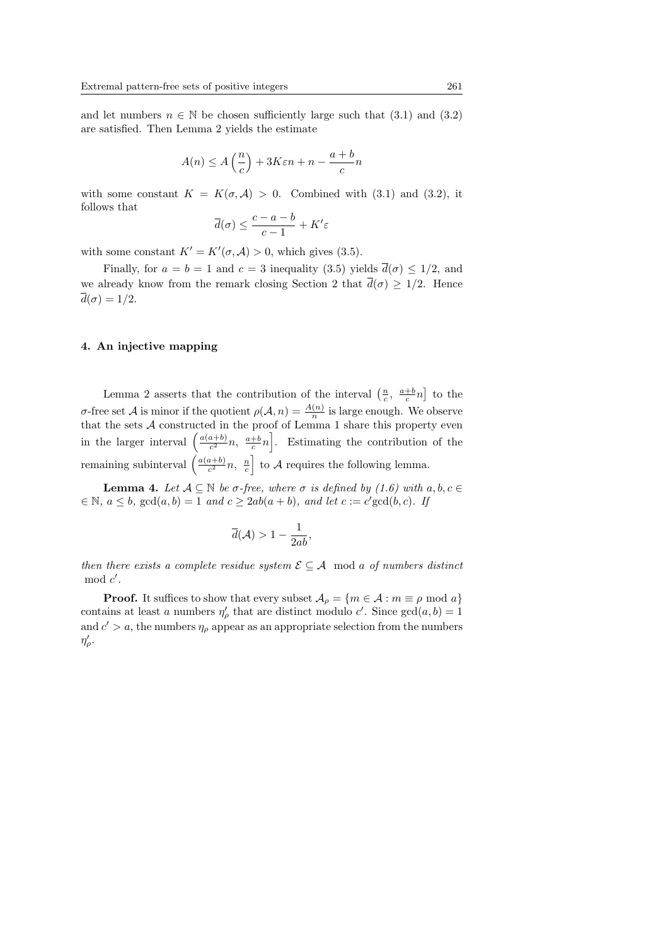and let numbers  $n \in \mathbb{N}$  be chosen sufficiently large such that  $(3.1)$  and  $(3.2)$ are satisfied. Then Lemma 2 yields the estimate

$$
A(n) \le A\left(\frac{n}{c}\right) + 3K\varepsilon n + n - \frac{a+b}{c}n
$$

with some constant  $K = K(\sigma, \mathcal{A}) > 0$ . Combined with (3.1) and (3.2), it follows that

$$
\overline{d}(\sigma) \le \frac{c-a-b}{c-1} + K'\varepsilon
$$

with some constant  $K' = K'(\sigma, \mathcal{A}) > 0$ , which gives (3.5).

Finally, for  $a = b = 1$  and  $c = 3$  inequality (3.5) yields  $\overline{d}(\sigma) \leq 1/2$ , and we already know from the remark closing Section 2 that  $\bar{d}(\sigma) > 1/2$ . Hence  $\overline{d}(\sigma) = 1/2.$ 

### 4. An injective mapping

Lemma 2 asserts that the contribution of the interval  $\left(\frac{n}{c}, \frac{a+b}{c}n\right)$ ¤ to the σ-free set *A* is minor if the quotient  $ρ(A, n) = \frac{A(n)}{n}$  is large enough. We observe that the sets  $\mathcal A$  constructed in the proof of Lemma 1 share this property even that the sets A constructed in<br>in the larger interval  $\left(\frac{a(a+b)}{c^2}\right)$  $\frac{a+b}{c^2}n, \frac{a+b}{c}n\Big|$ . Estimating the contribution of the remaining subinterval  $\left(\frac{a(a+b)}{c^2}\right)$  $\frac{a+b}{c^2}n$ ,  $\frac{n}{c}$  to A requires the following lemma.  $\frac{c}{1}$ 

**Lemma 4.** Let  $A \subseteq \mathbb{N}$  be  $\sigma$ -free, where  $\sigma$  is defined by (1.6) with  $a, b, c \in$  $\in \mathbb{N}, a \leq b, \gcd(a, b) = 1 \ and \ c \geq 2ab(a + b), \ and \ let \ c := c' \gcd(b, c).$  If

$$
\overline{d}(\mathcal{A}) > 1 - \frac{1}{2ab},
$$

then there exists a complete residue system  $\mathcal{E} \subseteq \mathcal{A}$  mod a of numbers distinct  $\mod c'$ .

**Proof.** It suffices to show that every subset  $A_{\rho} = \{m \in \mathcal{A} : m \equiv \rho \mod a\}$ contains at least a numbers  $\eta'_{\rho}$  that are distinct modulo c'. Since  $gcd(a, b) = 1$ and  $c' > a$ , the numbers  $\eta_{\rho}$  appear as an appropriate selection from the numbers  $\eta'_{\rho}$ .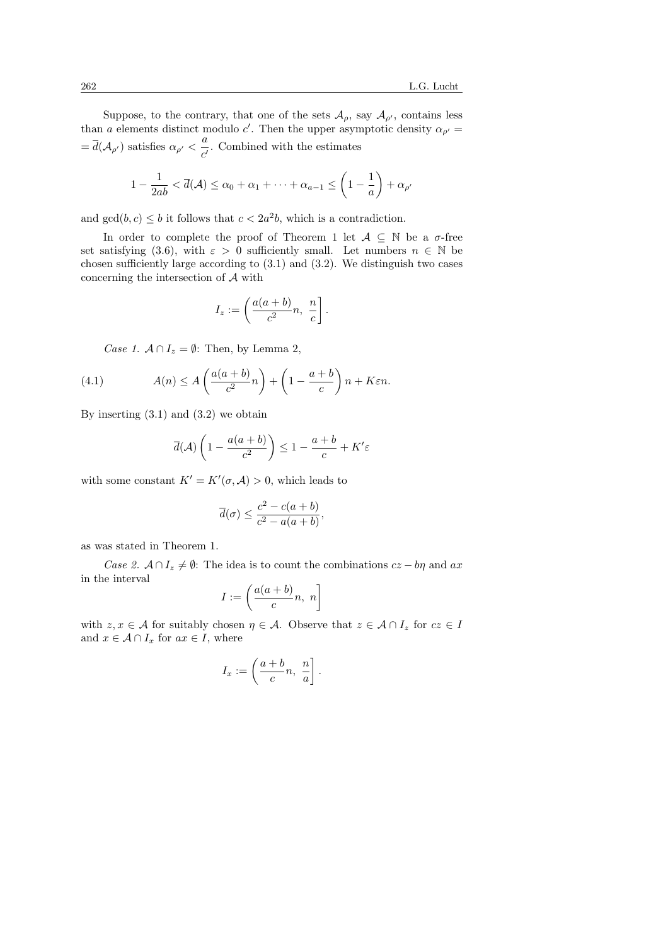Suppose, to the contrary, that one of the sets  $\mathcal{A}_{\rho}$ , say  $\mathcal{A}_{\rho'}$ , contains less than a elements distinct modulo c'. Then the upper asymptotic density  $\alpha_{\rho'} =$  $=\overline{d}(\mathcal{A}_{\rho'})$  satisfies  $\alpha_{\rho'}<\frac{a}{d}$  $\frac{\alpha}{c'}$ . Combined with the estimates

$$
1 - \frac{1}{2ab} < \overline{d}(\mathcal{A}) \le \alpha_0 + \alpha_1 + \dots + \alpha_{a-1} \le \left(1 - \frac{1}{a}\right) + \alpha_{\rho'}
$$

and  $gcd(b, c) \leq b$  it follows that  $c < 2a<sup>2</sup>b$ , which is a contradiction.

In order to complete the proof of Theorem 1 let  $A \subseteq \mathbb{N}$  be a  $\sigma$ -free set satisfying (3.6), with  $\varepsilon > 0$  sufficiently small. Let numbers  $n \in \mathbb{N}$  be chosen sufficiently large according to  $(3.1)$  and  $(3.2)$ . We distinguish two cases concerning the intersection of A with

$$
I_z := \left(\frac{a(a+b)}{c^2}n, \frac{n}{c}\right].
$$

Case 1.  $A \cap I_z = \emptyset$ : Then, by Lemma 2,

(4.1) 
$$
A(n) \le A\left(\frac{a(a+b)}{c^2}n\right) + \left(1 - \frac{a+b}{c}\right)n + K\varepsilon n.
$$

By inserting  $(3.1)$  and  $(3.2)$  we obtain

$$
\overline{d}(\mathcal{A})\left(1 - \frac{a(a+b)}{c^2}\right) \le 1 - \frac{a+b}{c} + K'\varepsilon
$$

with some constant  $K' = K'(\sigma, \mathcal{A}) > 0$ , which leads to

$$
\overline{d}(\sigma) \le \frac{c^2 - c(a+b)}{c^2 - a(a+b)},
$$

as was stated in Theorem 1.

Case 2.  $A \cap I_z \neq \emptyset$ : The idea is to count the combinations  $cz - b\eta$  and  $ax$ in the interval

$$
I := \left(\frac{a(a+b)}{c}n, n\right]
$$

with  $z, x \in A$  for suitably chosen  $\eta \in A$ . Observe that  $z \in A \cap I_z$  for  $cz \in I$ and  $x \in A \cap I_x$  for  $ax \in I$ , where

$$
I_x := \left(\frac{a+b}{c}n, \frac{n}{a}\right].
$$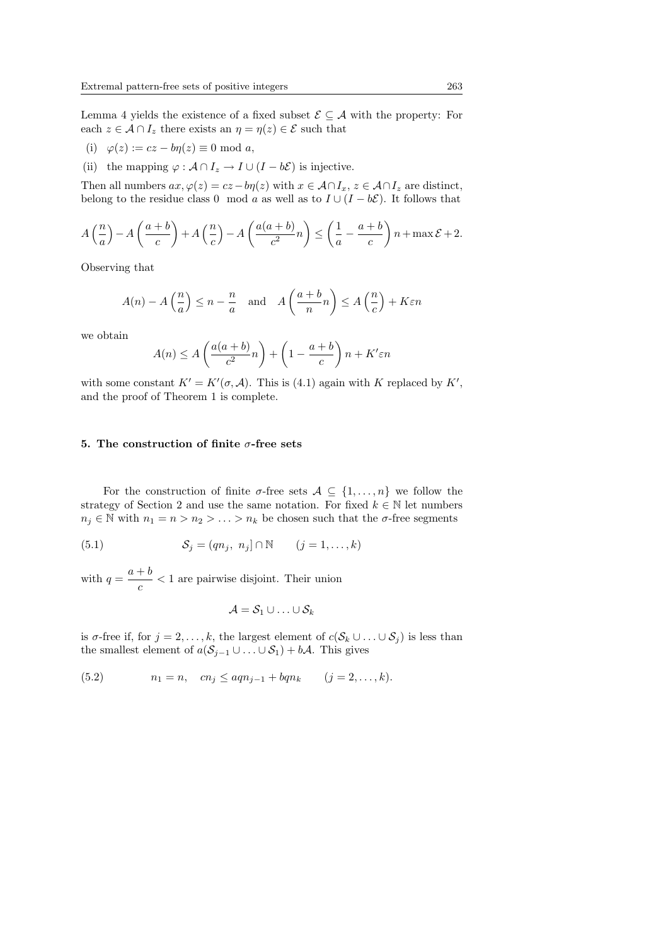Lemma 4 yields the existence of a fixed subset  $\mathcal{E} \subseteq \mathcal{A}$  with the property: For each  $z \in A \cap I_z$  there exists an  $\eta = \eta(z) \in \mathcal{E}$  such that

- (i)  $\varphi(z) := cz bn(z) \equiv 0 \text{ mod } a$ ,
- (ii) the mapping  $\varphi : A \cap I_z \to I \cup (I b\mathcal{E})$  is injective.

Then all numbers  $ax, \varphi(z) = cz - b\eta(z)$  with  $x \in A \cap I_x$ ,  $z \in A \cap I_z$  are distinct, belong to the residue class 0 mod a as well as to  $I \cup (I - b\mathcal{E})$ . It follows that

$$
A\left(\frac{n}{a}\right) - A\left(\frac{a+b}{c}\right) + A\left(\frac{n}{c}\right) - A\left(\frac{a(a+b)}{c^2}n\right) \le \left(\frac{1}{a} - \frac{a+b}{c}\right)n + \max \mathcal{E} + 2.
$$

Observing that

$$
A(n) - A\left(\frac{n}{a}\right) \le n - \frac{n}{a} \quad \text{and} \quad A\left(\frac{a+b}{n}n\right) \le A\left(\frac{n}{c}\right) + K\varepsilon n
$$

we obtain

$$
A(n) \le A\left(\frac{a(a+b)}{c^2}n\right) + \left(1 - \frac{a+b}{c}\right)n + K' \varepsilon n
$$

with some constant  $K' = K'(\sigma, \mathcal{A})$ . This is (4.1) again with K replaced by K', and the proof of Theorem 1 is complete.

### 5. The construction of finite  $\sigma$ -free sets

For the construction of finite  $\sigma$ -free sets  $A \subseteq \{1, ..., n\}$  we follow the strategy of Section 2 and use the same notation. For fixed  $k \in \mathbb{N}$  let numbers  $n_j \in \mathbb{N}$  with  $n_1 = n > n_2 > \ldots > n_k$  be chosen such that the  $\sigma$ -free segments

(5.1) 
$$
\mathcal{S}_j = (qn_j, n_j] \cap \mathbb{N} \qquad (j = 1, \dots, k)
$$

with  $q = \frac{a+b}{a}$  $\frac{1}{c}$  < 1 are pairwise disjoint. Their union

$$
\mathcal{A} = \mathcal{S}_1 \cup \ldots \cup \mathcal{S}_k
$$

is  $\sigma$ -free if, for  $j = 2, \ldots, k$ , the largest element of  $c(S_k \cup \ldots \cup S_j)$  is less than the smallest element of  $a(S_{j-1} \cup ... \cup S_1) + b\mathcal{A}$ . This gives

(5.2) 
$$
n_1 = n
$$
,  $cn_j \le aqn_{j-1} + bqn_k$   $(j = 2, ..., k)$ .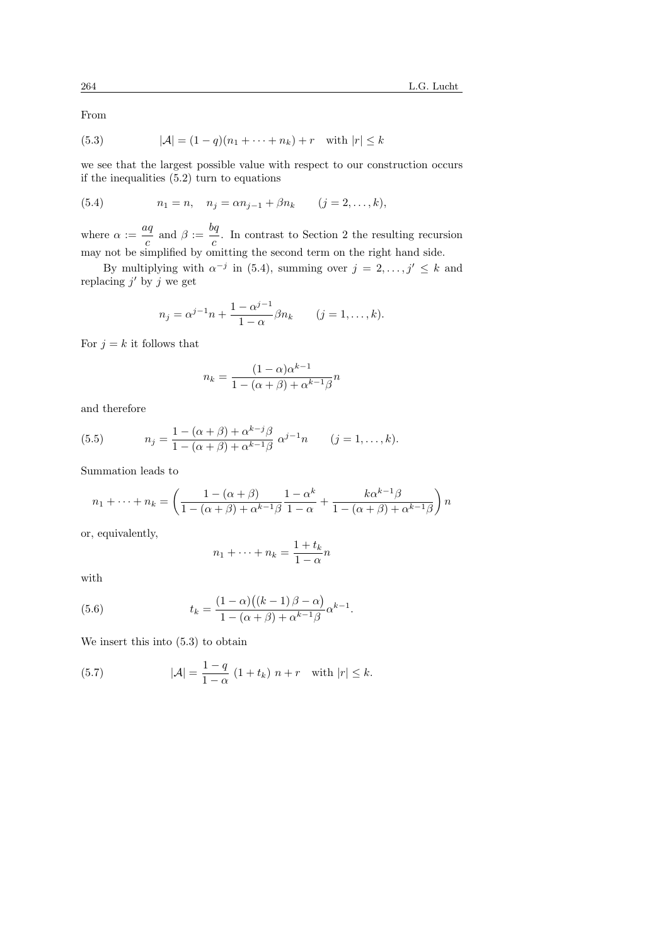From

(5.3) 
$$
|\mathcal{A}| = (1 - q)(n_1 + \dots + n_k) + r \text{ with } |r| \leq k
$$

we see that the largest possible value with respect to our construction occurs if the inequalities (5.2) turn to equations

(5.4) 
$$
n_1 = n, \quad n_j = \alpha n_{j-1} + \beta n_k \quad (j = 2, ..., k),
$$

where  $\alpha := \frac{aq}{a}$  $\frac{aq}{c}$  and  $\beta := \frac{bq}{c}$  $\frac{\gamma}{c}$ . In contrast to Section 2 the resulting recursion may not be simplified by omitting the second term on the right hand side.

By multiplying with  $\alpha^{-j}$  in (5.4), summing over  $j = 2, \ldots, j' \leq k$  and replacing  $j'$  by j we get

$$
n_j = \alpha^{j-1} n + \frac{1 - \alpha^{j-1}}{1 - \alpha} \beta n_k \qquad (j = 1, ..., k).
$$

For  $j = k$  it follows that

$$
n_k = \frac{(1 - \alpha)\alpha^{k-1}}{1 - (\alpha + \beta) + \alpha^{k-1}\beta}n
$$

and therefore

(5.5) 
$$
n_j = \frac{1 - (\alpha + \beta) + \alpha^{k-j}\beta}{1 - (\alpha + \beta) + \alpha^{k-1}\beta} \alpha^{j-1}n \qquad (j = 1, ..., k).
$$

Summation leads to

$$
n_1 + \dots + n_k = \left(\frac{1 - (\alpha + \beta)}{1 - (\alpha + \beta) + \alpha^{k-1}\beta} \frac{1 - \alpha^k}{1 - \alpha} + \frac{k\alpha^{k-1}\beta}{1 - (\alpha + \beta) + \alpha^{k-1}\beta}\right) n
$$

or, equivalently,

$$
n_1 + \dots + n_k = \frac{1 + t_k}{1 - \alpha} n
$$

with

(5.6) 
$$
t_k = \frac{(1-\alpha)((k-1)\beta - \alpha)}{1 - (\alpha + \beta) + \alpha^{k-1}\beta} \alpha^{k-1}.
$$

We insert this into (5.3) to obtain

(5.7) 
$$
|\mathcal{A}| = \frac{1-q}{1-\alpha} (1+t_k) n + r \text{ with } |r| \le k.
$$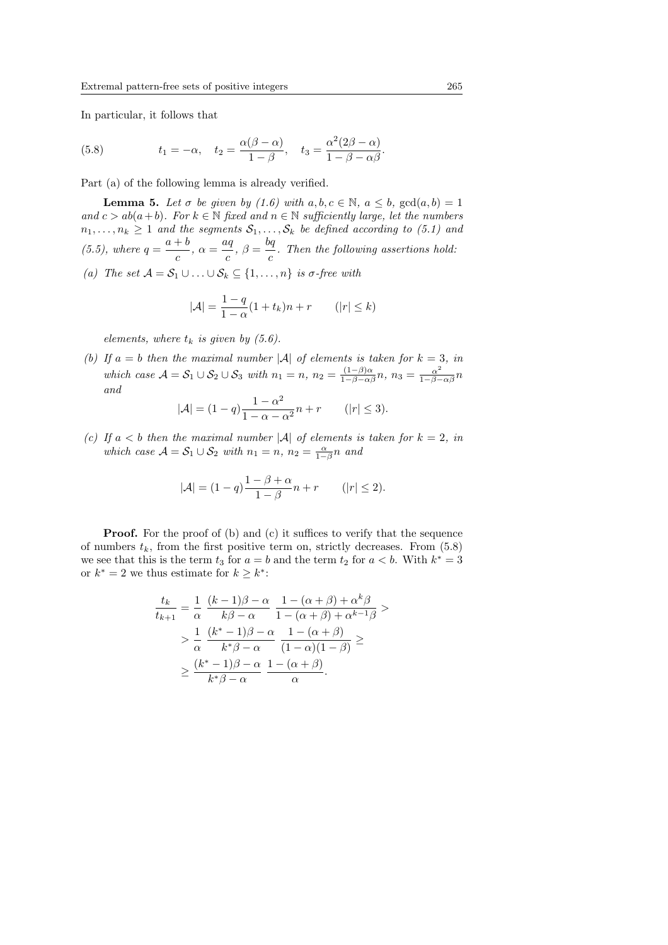In particular, it follows that

(5.8) 
$$
t_1 = -\alpha, \quad t_2 = \frac{\alpha(\beta - \alpha)}{1 - \beta}, \quad t_3 = \frac{\alpha^2(2\beta - \alpha)}{1 - \beta - \alpha\beta}.
$$

Part (a) of the following lemma is already verified.

**Lemma 5.** Let  $\sigma$  be given by (1.6) with  $a, b, c \in \mathbb{N}$ ,  $a \leq b$ ,  $gcd(a, b) = 1$ and  $c > ab(a+b)$ . For  $k \in \mathbb{N}$  fixed and  $n \in \mathbb{N}$  sufficiently large, let the numbers  $n_1, \ldots, n_k \geq 1$  and the segments  $S_1, \ldots, S_k$  be defined according to (5.1) and  $(5.5)$ , where  $q = \frac{a+b}{a}$  $\frac{+b}{c}, \alpha = \frac{aq}{c}$  $\frac{uq}{c}, \ \beta = \frac{bq}{c}$  $\frac{\sigma_1}{c}$ . Then the following assertions hold:

(a) The set  $A = S_1 \cup ... \cup S_k \subseteq \{1, ..., n\}$  is  $\sigma$ -free with

$$
|\mathcal{A}| = \frac{1-q}{1-\alpha}(1+t_k)n + r \qquad (|r| \le k)
$$

elements, where  $t_k$  is given by (5.6).

(b) If  $a = b$  then the maximal number |A| of elements is taken for  $k = 3$ , in which case  $\mathcal{A} = \mathcal{S}_1 \cup \mathcal{S}_2 \cup \mathcal{S}_3$  with  $n_1 = n$ ,  $n_2 = \frac{(1-\beta)\alpha}{1-\beta-\alpha\beta}n$ ,  $n_3 = \frac{\alpha^2}{1-\beta-\alpha\beta}n$ and

$$
|\mathcal{A}| = (1 - q) \frac{1 - \alpha^2}{1 - \alpha - \alpha^2} n + r \qquad (|r| \le 3).
$$

(c) If  $a < b$  then the maximal number |A| of elements is taken for  $k = 2$ , in which case  $\mathcal{A} = \mathcal{S}_1 \cup \mathcal{S}_2$  with  $n_1 = n$ ,  $n_2 = \frac{\alpha}{1-\beta}n$  and

$$
|\mathcal{A}| = (1-q)\frac{1-\beta+\alpha}{1-\beta}n+r \qquad (|r| \le 2).
$$

**Proof.** For the proof of (b) and (c) it suffices to verify that the sequence of numbers  $t_k$ , from the first positive term on, strictly decreases. From  $(5.8)$ we see that this is the term  $t_3$  for  $a = b$  and the term  $t_2$  for  $a < b$ . With  $k^* = 3$ or  $k^* = 2$  we thus estimate for  $k \geq k^*$ :

$$
\frac{t_k}{t_{k+1}} = \frac{1}{\alpha} \frac{(k-1)\beta - \alpha}{k\beta - \alpha} \frac{1 - (\alpha + \beta) + \alpha^k \beta}{1 - (\alpha + \beta) + \alpha^{k-1} \beta} > \n> \frac{1}{\alpha} \frac{(k^* - 1)\beta - \alpha}{k^* \beta - \alpha} \frac{1 - (\alpha + \beta)}{(1 - \alpha)(1 - \beta)} \ge \n\geq \frac{(k^* - 1)\beta - \alpha}{k^* \beta - \alpha} \frac{1 - (\alpha + \beta)}{\alpha}.
$$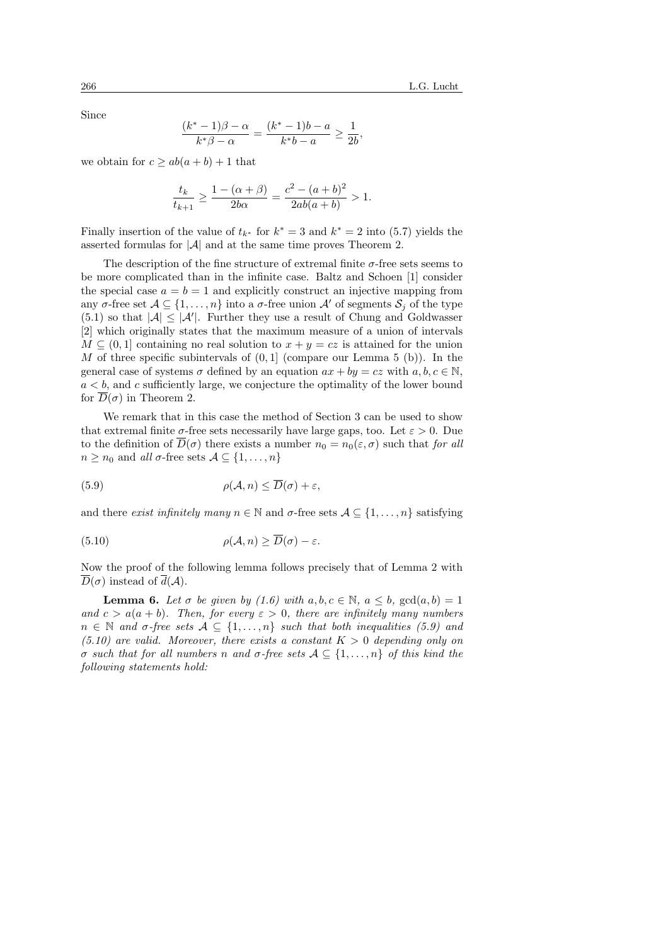Since

$$
\frac{(k^*-1)\beta-\alpha}{k^*\beta-\alpha} = \frac{(k^*-1)b-a}{k^*b-a} \ge \frac{1}{2b},
$$

we obtain for  $c \ge ab(a+b)+1$  that

$$
\frac{t_k}{t_{k+1}} \ge \frac{1 - (\alpha + \beta)}{2b\alpha} = \frac{c^2 - (a+b)^2}{2ab(a+b)} > 1.
$$

Finally insertion of the value of  $t_{k^*}$  for  $k^* = 3$  and  $k^* = 2$  into (5.7) yields the asserted formulas for  $|\mathcal{A}|$  and at the same time proves Theorem 2.

The description of the fine structure of extremal finite  $\sigma$ -free sets seems to be more complicated than in the infinite case. Baltz and Schoen [1] consider the special case  $a = b = 1$  and explicitly construct an injective mapping from any  $\sigma$ -free set  $\mathcal{A} \subseteq \{1, \ldots, n\}$  into a  $\sigma$ -free union  $\mathcal{A}'$  of segments  $\mathcal{S}_i$  of the type  $(5.1)$  so that  $|\mathcal{A}| \leq |\mathcal{A}'|$ . Further they use a result of Chung and Goldwasser [2] which originally states that the maximum measure of a union of intervals  $M \subseteq (0, 1]$  containing no real solution to  $x + y = cz$  is attained for the union M of three specific subintervals of  $(0, 1)$  (compare our Lemma 5 (b)). In the general case of systems  $\sigma$  defined by an equation  $ax + by = cz$  with  $a, b, c \in \mathbb{N}$ ,  $a < b$ , and c sufficiently large, we conjecture the optimality of the lower bound for  $\overline{D}(\sigma)$  in Theorem 2.

We remark that in this case the method of Section 3 can be used to show that extremal finite  $\sigma$ -free sets necessarily have large gaps, too. Let  $\varepsilon > 0$ . Due to the definition of  $D(\sigma)$  there exists a number  $n_0 = n_0(\varepsilon, \sigma)$  such that for all  $n \geq n_0$  and all  $\sigma$ -free sets  $\mathcal{A} \subseteq \{1, \ldots, n\}$ 

(5.9) 
$$
\rho(\mathcal{A}, n) \leq \overline{D}(\sigma) + \varepsilon,
$$

and there exist infinitely many  $n \in \mathbb{N}$  and  $\sigma$ -free sets  $\mathcal{A} \subseteq \{1, \ldots, n\}$  satisfying

(5.10) 
$$
\rho(\mathcal{A}, n) \ge \overline{D}(\sigma) - \varepsilon.
$$

Now the proof of the following lemma follows precisely that of Lemma 2 with  $D(\sigma)$  instead of  $d(\mathcal{A})$ .

**Lemma 6.** Let  $\sigma$  be given by (1.6) with  $a, b, c \in \mathbb{N}$ ,  $a \leq b$ ,  $gcd(a, b) = 1$ and  $c > a(a + b)$ . Then, for every  $\varepsilon > 0$ , there are infinitely many numbers  $n \in \mathbb{N}$  and  $\sigma$ -free sets  $A \subseteq \{1, \ldots, n\}$  such that both inequalities (5.9) and  $(5.10)$  are valid. Moreover, there exists a constant  $K > 0$  depending only on σ such that for all numbers n and σ-free sets A ⊆ {1, . . . , n} of this kind the following statements hold: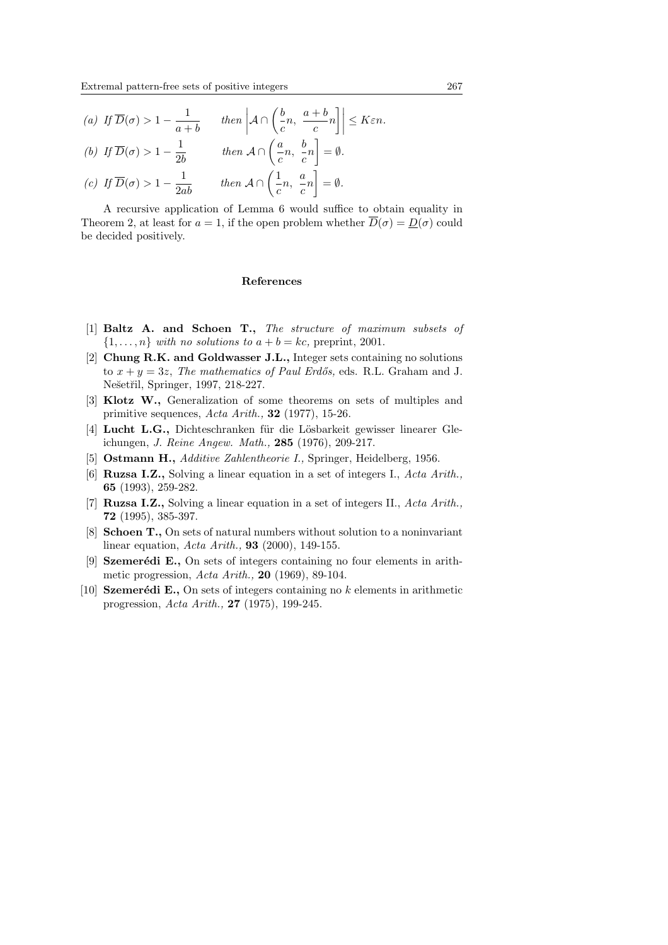(a) If  $\overline{D}(\sigma) > 1 - \frac{1}{\sigma}$  $\frac{1}{a+b}$  then  $\left| A \cap \left( \frac{b}{c} \right) \right|$  $\frac{b}{c}n, \frac{a+b}{c}$  $\frac{1}{c}$ n  $\left|\right| \leq K \varepsilon n.$ (b) If  $\overline{D}(\sigma) > 1 - \frac{1}{2!}$  $rac{1}{2b}$  then  $A \cap \left(\frac{a}{c}\right)$  $\frac{a}{c}n,~\frac{b}{c}$  $\frac{5}{c}n$ ັ<br>¬  $=\emptyset$ . (c) If  $\overline{D}(\sigma) > 1 - \frac{1}{2ab}$  then  $\mathcal{A} \cap \left(\frac{1}{c}\right)$  $\frac{1}{c}n, \frac{a}{c}$  $\frac{a}{c}n$ بر<br>- $=\emptyset$ .

A recursive application of Lemma 6 would suffice to obtain equality in Theorem 2, at least for  $a = 1$ , if the open problem whether  $\overline{D}(\sigma) = D(\sigma)$  could be decided positively.

#### References

- [1] Baltz A. and Schoen T., The structure of maximum subsets of  $\{1, \ldots, n\}$  with no solutions to  $a + b = kc$ , preprint, 2001.
- [2] Chung R.K. and Goldwasser J.L., Integer sets containing no solutions to  $x + y = 3z$ , The mathematics of Paul Erdős, eds. R.L. Graham and J. Nešetřil, Springer, 1997, 218-227.
- [3] Klotz W., Generalization of some theorems on sets of multiples and primitive sequences,  $Acta \, Arith.,$  32 (1977), 15-26.
- [4] Lucht L.G., Dichteschranken für die Lösbarkeit gewisser linearer Gleichungen, J. Reine Angew. Math., 285 (1976), 209-217.
- [5] **Ostmann H.,** Additive Zahlentheorie I., Springer, Heidelberg, 1956.
- [6] **Ruzsa I.Z.**, Solving a linear equation in a set of integers I., Acta Arith., 65 (1993), 259-282.
- [7] **Ruzsa I.Z.**, Solving a linear equation in a set of integers II.,  $Acta$  Arith., 72 (1995), 385-397.
- [8] Schoen T., On sets of natural numbers without solution to a noninvariant linear equation, Acta Arith., 93 (2000), 149-155.
- [9] **Szemerédi E.**, On sets of integers containing no four elements in arithmetic progression, Acta Arith., 20 (1969), 89-104.
- [10] Szemerédi E., On sets of integers containing no k elements in arithmetic progression, Acta Arith., 27 (1975), 199-245.